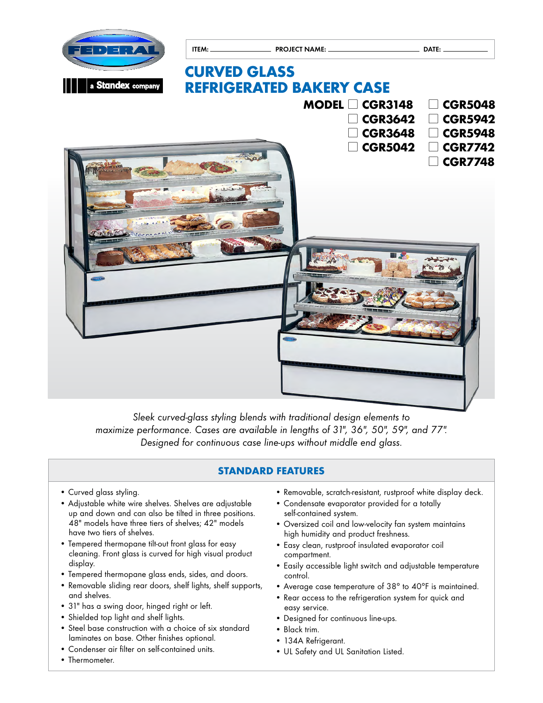

*Sleek curved-glass styling blends with traditional design elements to*  maximize performance. Cases are available in lengths of 31", 36", 50", 59", and 77". *Designed for continuous case line-ups without middle end glass.*

## **STANDARD FEATURES**

- Curved glass styling.
- Adjustable white wire shelves. Shelves are adjustable up and down and can also be tilted in three positions. 48" models have three tiers of shelves; 42" models have two tiers of shelves.
- Tempered thermopane tilt-out front glass for easy cleaning. Front glass is curved for high visual product display.
- Tempered thermopane glass ends, sides, and doors.
- Removable sliding rear doors, shelf lights, shelf supports, and shelves.
- 31" has a swing door, hinged right or left.
- Shielded top light and shelf lights.
- Steel base construction with a choice of six standard laminates on base. Other finishes optional.
- Condenser air filter on self-contained units.
- Thermometer.
- Removable, scratch-resistant, rustproof white display deck.
- Condensate evaporator provided for a totally self-contained system.
- Oversized coil and low-velocity fan system maintains high humidity and product freshness.
- Easy clean, rustproof insulated evaporator coil compartment.
- Easily accessible light switch and adjustable temperature control.
- Average case temperature of 38° to 40°F is maintained.
- Rear access to the refrigeration system for quick and easy service.
- Designed for continuous line-ups.
- Black trim.
- 134A Refrigerant.
- UL Safety and UL Sanitation Listed.